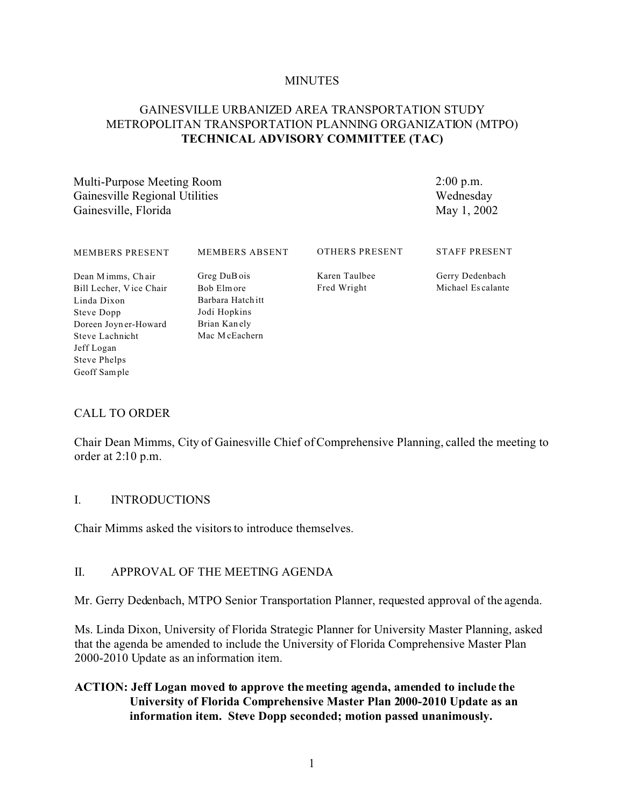#### **MINUTES**

## GAINESVILLE URBANIZED AREA TRANSPORTATION STUDY METROPOLITAN TRANSPORTATION PLANNING ORGANIZATION (MTPO) **TECHNICAL ADVISORY COMMITTEE (TAC)**

Multi-Purpose Meeting Room Gainesville Regional Utilities Gainesville, Florida

2:00 p.m. Wednesday May 1, 2002

| <b>MEMBERS PRESENT</b>                       | MEMBERS ABSENT             | OTHERS PRESENT               | <b>STAFF PRESENT</b>                 |
|----------------------------------------------|----------------------------|------------------------------|--------------------------------------|
| Dean Mimms, Chair<br>Bill Lecher, Vice Chair | Greg DuB ois<br>Bob Elmore | Karen Taulbee<br>Fred Wright | Gerry Dedenbach<br>Michael Escalante |
| Linda Dixon                                  | Barbara Hatch itt          |                              |                                      |
| Steve Dopp                                   | Jodi Hopkins               |                              |                                      |
| Doreen Joyn er-Howard                        | Brian Kanely               |                              |                                      |
| Steve Lachnicht                              | Mac McEachern              |                              |                                      |
| Jeff Logan                                   |                            |                              |                                      |
| Steve Phelps                                 |                            |                              |                                      |

### CALL TO ORDER

Geoff Sample

Chair Dean Mimms, City of Gainesville Chief of Comprehensive Planning, called the meeting to order at 2:10 p.m.

#### I. INTRODUCTIONS

Chair Mimms asked the visitors to introduce themselves.

### II. APPROVAL OF THE MEETING AGENDA

Mr. Gerry Dedenbach, MTPO Senior Transportation Planner, requested approval of the agenda.

Ms. Linda Dixon, University of Florida Strategic Planner for University Master Planning, asked that the agenda be amended to include the University of Florida Comprehensive Master Plan 2000-2010 Update as an information item.

### **ACTION: Jeff Logan moved to approve the meeting agenda, amended to include the University of Florida Comprehensive Master Plan 2000-2010 Update as an information item. Steve Dopp seconded; motion passed unanimously.**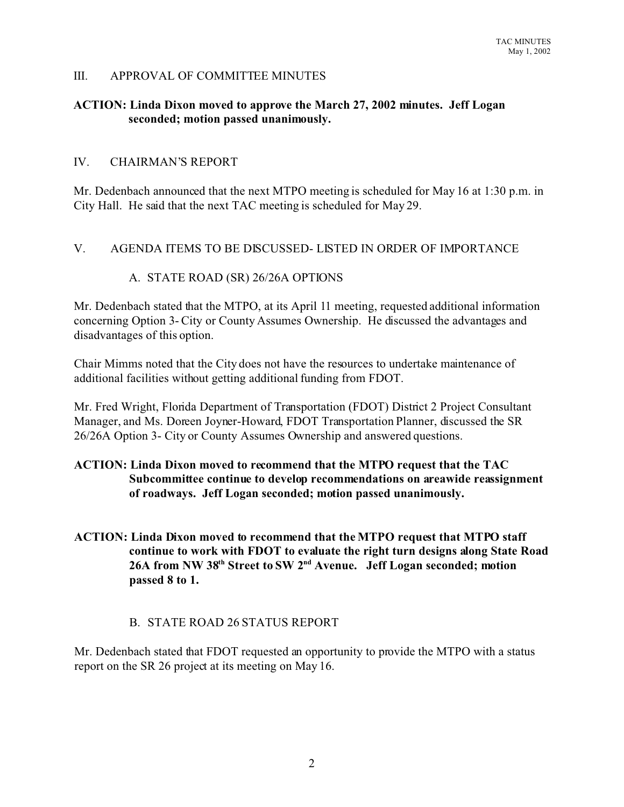### III. APPROVAL OF COMMITTEE MINUTES

### **ACTION: Linda Dixon moved to approve the March 27, 2002 minutes. Jeff Logan seconded; motion passed unanimously.**

### IV. CHAIRMAN'S REPORT

Mr. Dedenbach announced that the next MTPO meeting is scheduled for May 16 at 1:30 p.m. in City Hall. He said that the next TAC meeting is scheduled for May 29.

### V. AGENDA ITEMS TO BE DISCUSSED- LISTED IN ORDER OF IMPORTANCE

### A. STATE ROAD (SR) 26/26A OPTIONS

Mr. Dedenbach stated that the MTPO, at its April 11 meeting, requested additional information concerning Option 3- City or County Assumes Ownership. He discussed the advantages and disadvantages of this option.

Chair Mimms noted that the City does not have the resources to undertake maintenance of additional facilities without getting additional funding from FDOT.

Mr. Fred Wright, Florida Department of Transportation (FDOT) District 2 Project Consultant Manager, and Ms. Doreen Joyner-Howard, FDOT Transportation Planner, discussed the SR 26/26A Option 3- City or County Assumes Ownership and answered questions.

## **ACTION: Linda Dixon moved to recommend that the MTPO request that the TAC Subcommittee continue to develop recommendations on areawide reassignment of roadways. Jeff Logan seconded; motion passed unanimously.**

**ACTION: Linda Dixon moved to recommend that the MTPO request that MTPO staff continue to work with FDOT to evaluate the right turn designs along State Road 26A from NW 38th Street to SW 2nd Avenue. Jeff Logan seconded; motion passed 8 to 1.**

### B. STATE ROAD 26 STATUS REPORT

Mr. Dedenbach stated that FDOT requested an opportunity to provide the MTPO with a status report on the SR 26 project at its meeting on May 16.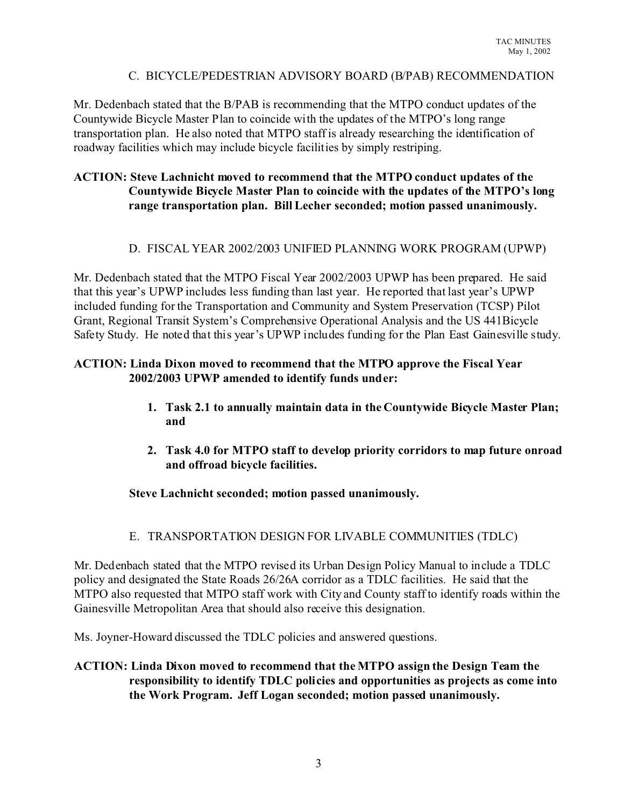### C. BICYCLE/PEDESTRIAN ADVISORY BOARD (B/PAB) RECOMMENDATION

Mr. Dedenbach stated that the B/PAB is recommending that the MTPO conduct updates of the Countywide Bicycle Master Plan to coincide with the updates of the MTPO's long range transportation plan. He also noted that MTPO staff is already researching the identification of roadway facilities which may include bicycle facilities by simply restriping.

## **ACTION: Steve Lachnicht moved to recommend that the MTPO conduct updates of the Countywide Bicycle Master Plan to coincide with the updates of the MTPO's long range transportation plan. Bill Lecher seconded; motion passed unanimously.**

## D. FISCAL YEAR 2002/2003 UNIFIED PLANNING WORK PROGRAM (UPWP)

Mr. Dedenbach stated that the MTPO Fiscal Year 2002/2003 UPWP has been prepared. He said that this year's UPWP includes less funding than last year. He reported that last year's UPWP included funding for the Transportation and Community and System Preservation (TCSP) Pilot Grant, Regional Transit System's Comprehensive Operational Analysis and the US 441Bicycle Safety Study. He noted that this year's UPWP includes funding for the Plan East Gainesville study.

## **ACTION: Linda Dixon moved to recommend that the MTPO approve the Fiscal Year 2002/2003 UPWP amended to identify funds under:**

- **1. Task 2.1 to annually maintain data in the Countywide Bicycle Master Plan; and**
- **2. Task 4.0 for MTPO staff to develop priority corridors to map future onroad and offroad bicycle facilities.**

## **Steve Lachnicht seconded; motion passed unanimously.**

## E. TRANSPORTATION DESIGN FOR LIVABLE COMMUNITIES (TDLC)

Mr. Dedenbach stated that the MTPO revised its Urban Design Policy Manual to include a TDLC policy and designated the State Roads 26/26A corridor as a TDLC facilities. He said that the MTPO also requested that MTPO staff work with City and County staff to identify roads within the Gainesville Metropolitan Area that should also receive this designation.

Ms. Joyner-Howard discussed the TDLC policies and answered questions.

## **ACTION: Linda Dixon moved to recommend that the MTPO assign the Design Team the responsibility to identify TDLC policies and opportunities as projects as come into the Work Program. Jeff Logan seconded; motion passed unanimously.**